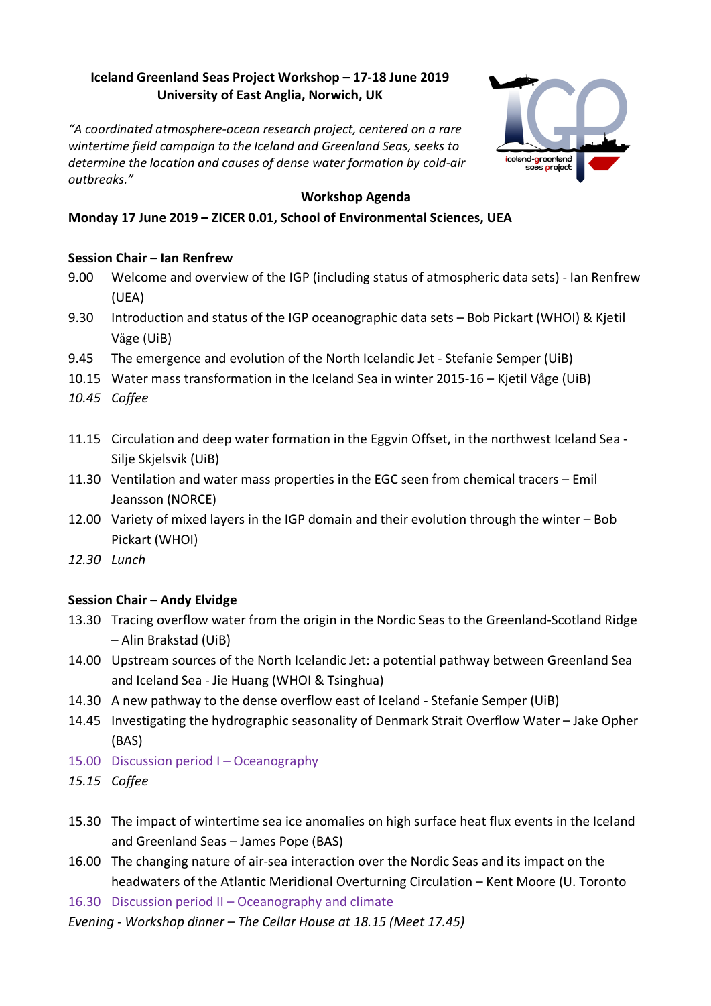# **Iceland Greenland Seas Project Workshop – 17-18 June 2019 University of East Anglia, Norwich, UK**

*"A coordinated atmosphere-ocean research project, centered on a rare wintertime field campaign to the Iceland and Greenland Seas, seeks to determine the location and causes of dense water formation by cold-air outbreaks."*



### **Workshop Agenda**

# **Monday 17 June 2019 – ZICER 0.01, School of Environmental Sciences, UEA**

### **Session Chair – Ian Renfrew**

- 9.00 Welcome and overview of the IGP (including status of atmospheric data sets) Ian Renfrew (UEA)
- 9.30 Introduction and status of the IGP oceanographic data sets Bob Pickart (WHOI) & Kjetil Våge (UiB)
- 9.45 The emergence and evolution of the North Icelandic Jet Stefanie Semper (UiB)
- 10.15 Water mass transformation in the Iceland Sea in winter 2015-16 Kjetil Våge (UiB)
- *10.45 Coffee*
- 11.15 Circulation and deep water formation in the Eggvin Offset, in the northwest Iceland Sea Silje Skjelsvik (UiB)
- 11.30 Ventilation and water mass properties in the EGC seen from chemical tracers Emil Jeansson (NORCE)
- 12.00 Variety of mixed layers in the IGP domain and their evolution through the winter Bob Pickart (WHOI)
- *12.30 Lunch*

### **Session Chair – Andy Elvidge**

- 13.30 Tracing overflow water from the origin in the Nordic Seas to the Greenland-Scotland Ridge – Alin Brakstad (UiB)
- 14.00 Upstream sources of the North Icelandic Jet: a potential pathway between Greenland Sea and Iceland Sea - Jie Huang (WHOI & Tsinghua)
- 14.30 A new pathway to the dense overflow east of Iceland Stefanie Semper (UiB)
- 14.45 Investigating the hydrographic seasonality of Denmark Strait Overflow Water Jake Opher (BAS)
- 15.00 Discussion period I Oceanography
- *15.15 Coffee*
- 15.30 The impact of wintertime sea ice anomalies on high surface heat flux events in the Iceland and Greenland Seas – James Pope (BAS)
- 16.00 The changing nature of air-sea interaction over the Nordic Seas and its impact on the headwaters of the Atlantic Meridional Overturning Circulation – Kent Moore (U. Toronto
- 16.30 Discussion period II Oceanography and climate
- *Evening - Workshop dinner – The Cellar House at 18.15 (Meet 17.45)*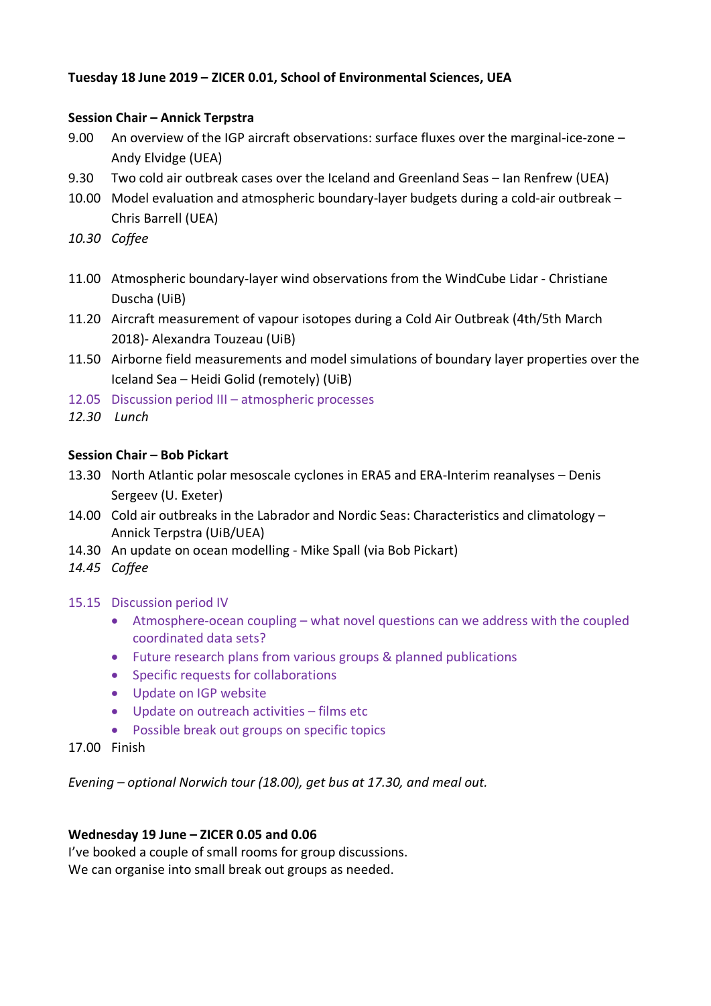# **Tuesday 18 June 2019 – ZICER 0.01, School of Environmental Sciences, UEA**

# **Session Chair – Annick Terpstra**

- 9.00 An overview of the IGP aircraft observations: surface fluxes over the marginal-ice-zone Andy Elvidge (UEA)
- 9.30 Two cold air outbreak cases over the Iceland and Greenland Seas Ian Renfrew (UEA)
- 10.00 Model evaluation and atmospheric boundary-layer budgets during a cold-air outbreak Chris Barrell (UEA)
- *10.30 Coffee*
- 11.00 Atmospheric boundary-layer wind observations from the WindCube Lidar Christiane Duscha (UiB)
- 11.20 Aircraft measurement of vapour isotopes during a Cold Air Outbreak (4th/5th March 2018)- Alexandra Touzeau (UiB)
- 11.50 Airborne field measurements and model simulations of boundary layer properties over the Iceland Sea – Heidi Golid (remotely) (UiB)
- 12.05 Discussion period III atmospheric processes
- *12.30 Lunch*

# **Session Chair – Bob Pickart**

- 13.30 North Atlantic polar mesoscale cyclones in ERA5 and ERA-Interim reanalyses Denis Sergeev (U. Exeter)
- 14.00 Cold air outbreaks in the Labrador and Nordic Seas: Characteristics and climatology Annick Terpstra (UiB/UEA)
- 14.30 An update on ocean modelling Mike Spall (via Bob Pickart)
- *14.45 Coffee*
- 15.15 Discussion period IV
	- Atmosphere-ocean coupling what novel questions can we address with the coupled coordinated data sets?
	- Future research plans from various groups & planned publications
	- Specific requests for collaborations
	- Update on IGP website
	- Update on outreach activities films etc
	- Possible break out groups on specific topics
- 17.00 Finish

*Evening – optional Norwich tour (18.00), get bus at 17.30, and meal out.* 

# **Wednesday 19 June – ZICER 0.05 and 0.06**

I've booked a couple of small rooms for group discussions. We can organise into small break out groups as needed.